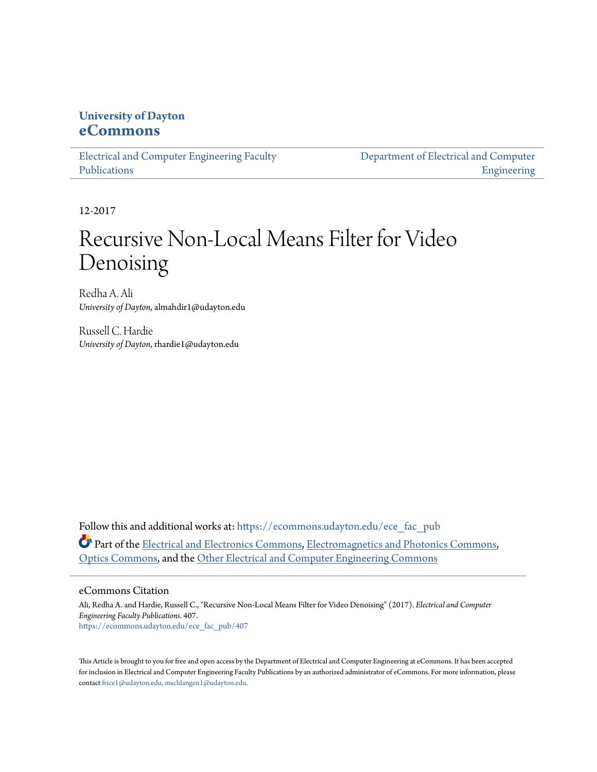# **University of Dayton [eCommons](https://ecommons.udayton.edu?utm_source=ecommons.udayton.edu%2Fece_fac_pub%2F407&utm_medium=PDF&utm_campaign=PDFCoverPages)**

[Electrical and Computer Engineering Faculty](https://ecommons.udayton.edu/ece_fac_pub?utm_source=ecommons.udayton.edu%2Fece_fac_pub%2F407&utm_medium=PDF&utm_campaign=PDFCoverPages) [Publications](https://ecommons.udayton.edu/ece_fac_pub?utm_source=ecommons.udayton.edu%2Fece_fac_pub%2F407&utm_medium=PDF&utm_campaign=PDFCoverPages)

[Department of Electrical and Computer](https://ecommons.udayton.edu/ece?utm_source=ecommons.udayton.edu%2Fece_fac_pub%2F407&utm_medium=PDF&utm_campaign=PDFCoverPages) [Engineering](https://ecommons.udayton.edu/ece?utm_source=ecommons.udayton.edu%2Fece_fac_pub%2F407&utm_medium=PDF&utm_campaign=PDFCoverPages)

12-2017

# Recursive Non-Local Means Filter for Video Denoising

Redha A. Ali *University of Dayton*, almahdir1@udayton.edu

Russell C. Hardie *University of Dayton*, rhardie1@udayton.edu

Follow this and additional works at: [https://ecommons.udayton.edu/ece\\_fac\\_pub](https://ecommons.udayton.edu/ece_fac_pub?utm_source=ecommons.udayton.edu%2Fece_fac_pub%2F407&utm_medium=PDF&utm_campaign=PDFCoverPages) Part of the [Electrical and Electronics Commons,](http://network.bepress.com/hgg/discipline/270?utm_source=ecommons.udayton.edu%2Fece_fac_pub%2F407&utm_medium=PDF&utm_campaign=PDFCoverPages) [Electromagnetics and Photonics Commons](http://network.bepress.com/hgg/discipline/271?utm_source=ecommons.udayton.edu%2Fece_fac_pub%2F407&utm_medium=PDF&utm_campaign=PDFCoverPages), [Optics Commons,](http://network.bepress.com/hgg/discipline/204?utm_source=ecommons.udayton.edu%2Fece_fac_pub%2F407&utm_medium=PDF&utm_campaign=PDFCoverPages) and the [Other Electrical and Computer Engineering Commons](http://network.bepress.com/hgg/discipline/278?utm_source=ecommons.udayton.edu%2Fece_fac_pub%2F407&utm_medium=PDF&utm_campaign=PDFCoverPages)

# eCommons Citation

Ali, Redha A. and Hardie, Russell C., "Recursive Non-Local Means Filter for Video Denoising" (2017). *Electrical and Computer Engineering Faculty Publications*. 407. [https://ecommons.udayton.edu/ece\\_fac\\_pub/407](https://ecommons.udayton.edu/ece_fac_pub/407?utm_source=ecommons.udayton.edu%2Fece_fac_pub%2F407&utm_medium=PDF&utm_campaign=PDFCoverPages)

This Article is brought to you for free and open access by the Department of Electrical and Computer Engineering at eCommons. It has been accepted for inclusion in Electrical and Computer Engineering Faculty Publications by an authorized administrator of eCommons. For more information, please contact [frice1@udayton.edu, mschlangen1@udayton.edu.](mailto:frice1@udayton.edu,%20mschlangen1@udayton.edu)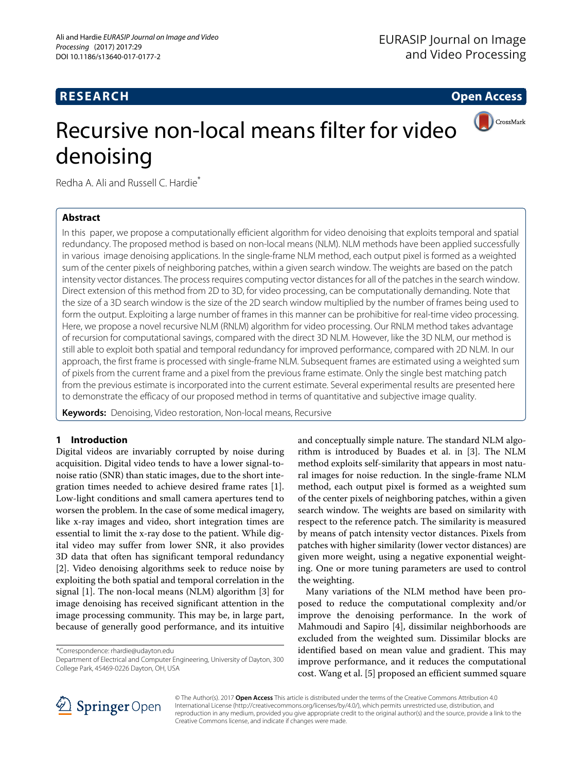# **RESEARCH Open Access**

CrossMark

# Recursive non-local means filter for video denoising

Redha A. Ali and Russell C. Hardie<sup>\*</sup>

# **Abstract**

In this paper, we propose a computationally efficient algorithm for video denoising that exploits temporal and spatial redundancy. The proposed method is based on non-local means (NLM). NLM methods have been applied successfully in various image denoising applications. In the single-frame NLM method, each output pixel is formed as a weighted sum of the center pixels of neighboring patches, within a given search window. The weights are based on the patch intensity vector distances. The process requires computing vector distances for all of the patches in the search window. Direct extension of this method from 2D to 3D, for video processing, can be computationally demanding. Note that the size of a 3D search window is the size of the 2D search window multiplied by the number of frames being used to form the output. Exploiting a large number of frames in this manner can be prohibitive for real-time video processing. Here, we propose a novel recursive NLM (RNLM) algorithm for video processing. Our RNLM method takes advantage of recursion for computational savings, compared with the direct 3D NLM. However, like the 3D NLM, our method is still able to exploit both spatial and temporal redundancy for improved performance, compared with 2D NLM. In our approach, the first frame is processed with single-frame NLM. Subsequent frames are estimated using a weighted sum of pixels from the current frame and a pixel from the previous frame estimate. Only the single best matching patch from the previous estimate is incorporated into the current estimate. Several experimental results are presented here to demonstrate the efficacy of our proposed method in terms of quantitative and subjective image quality.

**Keywords:** Denoising, Video restoration, Non-local means, Recursive

### **1 Introduction**

Digital videos are invariably corrupted by noise during acquisition. Digital video tends to have a lower signal-tonoise ratio (SNR) than static images, due to the short integration times needed to achieve desired frame rates [1]. Low-light conditions and small camera apertures tend to worsen the problem. In the case of some medical imagery, like x-ray images and video, short integration times are essential to limit the x-ray dose to the patient. While digital video may suffer from lower SNR, it also provides 3D data that often has significant temporal redundancy [2]. Video denoising algorithms seek to reduce noise by exploiting the both spatial and temporal correlation in the signal [1]. The non-local means (NLM) algorithm [3] for image denoising has received significant attention in the image processing community. This may be, in large part, because of generally good performance, and its intuitive

\*Correspondence: rhardie@udayton.edu

Department of Electrical and Computer Engineering, University of Dayton, 300 College Park, 45469-0226 Dayton, OH, USA

and conceptually simple nature. The standard NLM algorithm is introduced by Buades et al. in [3]. The NLM method exploits self-similarity that appears in most natural images for noise reduction. In the single-frame NLM method, each output pixel is formed as a weighted sum of the center pixels of neighboring patches, within a given search window. The weights are based on similarity with respect to the reference patch. The similarity is measured by means of patch intensity vector distances. Pixels from patches with higher similarity (lower vector distances) are given more weight, using a negative exponential weighting. One or more tuning parameters are used to control the weighting.

Many variations of the NLM method have been proposed to reduce the computational complexity and/or improve the denoising performance. In the work of Mahmoudi and Sapiro [4], dissimilar neighborhoods are excluded from the weighted sum. Dissimilar blocks are identified based on mean value and gradient. This may improve performance, and it reduces the computational cost. Wang et al. [5] proposed an efficient summed square



© The Author(s). 2017 **Open Access** This article is distributed under the terms of the Creative Commons Attribution 4.0 International License (http://creativecommons.org/licenses/by/4.0/), which permits unrestricted use, distribution, and reproduction in any medium, provided you give appropriate credit to the original author(s) and the source, provide a link to the Creative Commons license, and indicate if changes were made.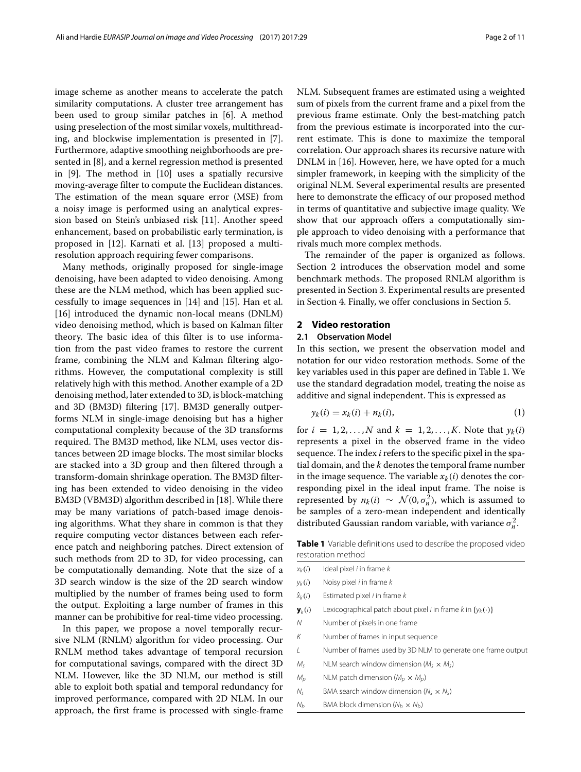image scheme as another means to accelerate the patch similarity computations. A cluster tree arrangement has been used to group similar patches in [6]. A method using preselection of the most similar voxels, multithreading, and blockwise implementation is presented in [7]. Furthermore, adaptive smoothing neighborhoods are presented in [8], and a kernel regression method is presented in [9]. The method in [10] uses a spatially recursive moving-average filter to compute the Euclidean distances. The estimation of the mean square error (MSE) from a noisy image is performed using an analytical expression based on Stein's unbiased risk [11]. Another speed enhancement, based on probabilistic early termination, is proposed in [12]. Karnati et al. [13] proposed a multiresolution approach requiring fewer comparisons.

Many methods, originally proposed for single-image denoising, have been adapted to video denoising. Among these are the NLM method, which has been applied successfully to image sequences in [14] and [15]. Han et al. [16] introduced the dynamic non-local means (DNLM) video denoising method, which is based on Kalman filter theory. The basic idea of this filter is to use information from the past video frames to restore the current frame, combining the NLM and Kalman filtering algorithms. However, the computational complexity is still relatively high with this method. Another example of a 2D denoising method, later extended to 3D, is block-matching and 3D (BM3D) filtering [17]. BM3D generally outperforms NLM in single-image denoising but has a higher computational complexity because of the 3D transforms required. The BM3D method, like NLM, uses vector distances between 2D image blocks. The most similar blocks are stacked into a 3D group and then filtered through a transform-domain shrinkage operation. The BM3D filtering has been extended to video denoising in the video BM3D (VBM3D) algorithm described in [18]. While there may be many variations of patch-based image denoising algorithms. What they share in common is that they require computing vector distances between each reference patch and neighboring patches. Direct extension of such methods from 2D to 3D, for video processing, can be computationally demanding. Note that the size of a 3D search window is the size of the 2D search window multiplied by the number of frames being used to form the output. Exploiting a large number of frames in this manner can be prohibitive for real-time video processing.

In this paper, we propose a novel temporally recursive NLM (RNLM) algorithm for video processing. Our RNLM method takes advantage of temporal recursion for computational savings, compared with the direct 3D NLM. However, like the 3D NLM, our method is still able to exploit both spatial and temporal redundancy for improved performance, compared with 2D NLM. In our approach, the first frame is processed with single-frame NLM. Subsequent frames are estimated using a weighted sum of pixels from the current frame and a pixel from the previous frame estimate. Only the best-matching patch from the previous estimate is incorporated into the current estimate. This is done to maximize the temporal correlation. Our approach shares its recursive nature with DNLM in [16]. However, here, we have opted for a much simpler framework, in keeping with the simplicity of the original NLM. Several experimental results are presented here to demonstrate the efficacy of our proposed method in terms of quantitative and subjective image quality. We show that our approach offers a computationally simple approach to video denoising with a performance that rivals much more complex methods.

The remainder of the paper is organized as follows. Section 2 introduces the observation model and some benchmark methods. The proposed RNLM algorithm is presented in Section 3. Experimental results are presented in Section 4. Finally, we offer conclusions in Section 5.

## **2 Video restoration**

#### **2.1 Observation Model**

In this section, we present the observation model and notation for our video restoration methods. Some of the key variables used in this paper are defined in Table 1. We use the standard degradation model, treating the noise as additive and signal independent. This is expressed as

$$
y_k(i) = x_k(i) + n_k(i),\tag{1}
$$

for  $i = 1, 2, ..., N$  and  $k = 1, 2, ..., K$ . Note that  $y_k(i)$ represents a pixel in the observed frame in the video sequence. The index *i*refers to the specific pixel in the spatial domain, and the *k* denotes the temporal frame number in the image sequence. The variable  $x_k(i)$  denotes the corresponding pixel in the ideal input frame. The noise is represented by  $n_k(i) \sim \mathcal{N}(0, \sigma_n^2)$ , which is assumed to be samples of a zero-mean independent and identically distributed Gaussian random variable, with variance  $\sigma_n^2$ .

**Table 1** Variable definitions used to describe the proposed video restoration method

| Nh                 | BMA block dimension $(N_h \times N_h)$                                           |
|--------------------|----------------------------------------------------------------------------------|
| N,                 | BMA search window dimension ( $N_c \times N_s$ )                                 |
| Мp                 | NLM patch dimension ( $MD \times MD$ )                                           |
| Mς                 | NLM search window dimension ( $M_s \times M_s$ )                                 |
| L                  | Number of frames used by 3D NLM to generate one frame output                     |
| Κ                  | Number of frames in input sequence                                               |
| Ν                  | Number of pixels in one frame                                                    |
| $\mathbf{y}_k(i)$  | Lexicographical patch about pixel <i>i</i> in frame <i>k</i> in $\{y_k(\cdot)\}$ |
| $\hat{x}_k(i)$     | Estimated pixel <i>i</i> in frame k                                              |
| y <sub>k</sub> (i) | Noisy pixel $i$ in frame $k$                                                     |
| $x_k(i)$           | Ideal pixel $i$ in frame $k$                                                     |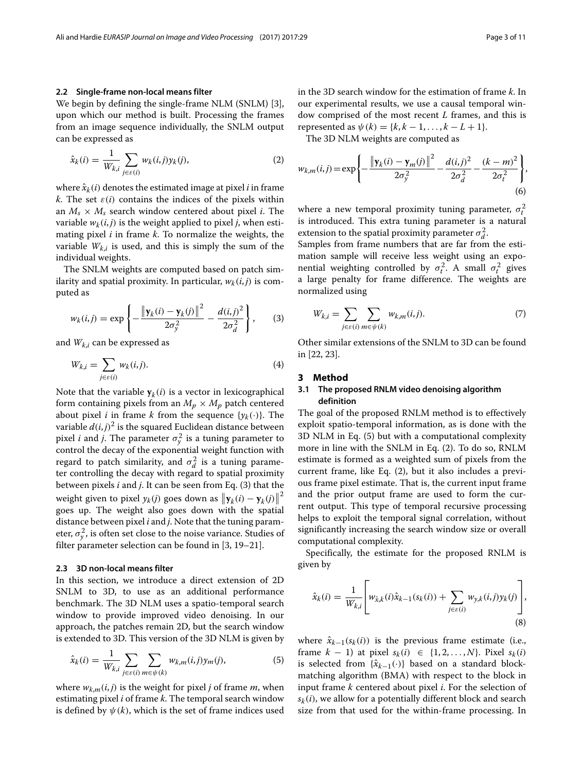#### **2.2 Single-frame non-local means filter**

We begin by defining the single-frame NLM (SNLM) [3], upon which our method is built. Processing the frames from an image sequence individually, the SNLM output can be expressed as

$$
\hat{x}_k(i) = \frac{1}{W_{k,i}} \sum_{j \in \varepsilon(i)} w_k(i,j) y_k(j),\tag{2}
$$

where  $\hat{x}_k(i)$  denotes the estimated image at pixel *i* in frame *k*. The set  $\varepsilon(i)$  contains the indices of the pixels within an  $M_s \times M_s$  search window centered about pixel *i*. The variable  $w_k(i, j)$  is the weight applied to pixel *j*, when estimating pixel *i* in frame *k*. To normalize the weights, the variable  $W_{k,i}$  is used, and this is simply the sum of the individual weights.

The SNLM weights are computed based on patch similarity and spatial proximity. In particular,  $w_k(i, j)$  is computed as

$$
w_k(i,j) = \exp\left\{-\frac{\|\mathbf{y}_k(i) - \mathbf{y}_k(j)\|^2}{2\sigma_y^2} - \frac{d(i,j)^2}{2\sigma_d^2}\right\},\qquad(3)
$$

and *Wk*,*<sup>i</sup>* can be expressed as

$$
W_{k,i} = \sum_{j \in \varepsilon(i)} w_k(i,j). \tag{4}
$$

Note that the variable  $y_k(i)$  is a vector in lexicographical form containing pixels from an  $M_p \times M_p$  patch centered about pixel *i* in frame *k* from the sequence  $\{y_k(\cdot)\}\$ . The variable  $d(i, j)^2$  is the squared Euclidean distance between pixel *i* and *j*. The parameter  $\sigma_y^2$  is a tuning parameter to control the decay of the exponential weight function with regard to patch similarity, and  $\sigma_d^2$  is a tuning parameter controlling the decay with regard to spatial proximity between pixels *i* and *j*. It can be seen from Eq. (3) that the weight given to pixel  $y_k(j)$  goes down as  $\left\| \mathbf{y}_k(i) - \mathbf{y}_k(j) \right\|^2$ weight given to pixer  $y_k(y)$  goes down as  $\|y_k(t) - y_k(y)\|$ <br>goes up. The weight also goes down with the spatial distance between pixel *i* and *j*. Note that the tuning parameter,  $\sigma_y^2$ , is often set close to the noise variance. Studies of filter parameter selection can be found in [3, 19–21].

#### **2.3 3D non-local means filter**

In this section, we introduce a direct extension of 2D SNLM to 3D, to use as an additional performance benchmark. The 3D NLM uses a spatio-temporal search window to provide improved video denoising. In our approach, the patches remain 2D, but the search window is extended to 3D. This version of the 3D NLM is given by

$$
\hat{x}_k(i) = \frac{1}{W_{k,i}} \sum_{j \in \varepsilon(i)} \sum_{m \in \psi(k)} w_{k,m}(i,j) y_m(j),\tag{5}
$$

where  $w_{k,m}(i, j)$  is the weight for pixel *j* of frame *m*, when estimating pixel *i* of frame *k*. The temporal search window is defined by  $\psi(k)$ , which is the set of frame indices used in the 3D search window for the estimation of frame *k*. In our experimental results, we use a causal temporal window comprised of the most recent *L* frames, and this is represented as  $\psi(k) = \{k, k - 1, ..., k - L + 1\}.$ 

The 3D NLM weights are computed as

$$
w_{k,m}(i,j) = \exp\left\{-\frac{\left\|\mathbf{y}_k(i) - \mathbf{y}_m(j)\right\|^2}{2\sigma_y^2} - \frac{d(i,j)^2}{2\sigma_d^2} - \frac{(k-m)^2}{2\sigma_t^2}\right\},\tag{6}
$$

where a new temporal proximity tuning parameter,  $\sigma_t^2$ is introduced. This extra tuning parameter is a natural extension to the spatial proximity parameter  $\sigma_d^2$ .

Samples from frame numbers that are far from the estimation sample will receive less weight using an exponential weighting controlled by  $\sigma_t^2$ . A small  $\sigma_t^2$  gives a large penalty for frame difference. The weights are normalized using

$$
W_{k,i} = \sum_{j \in \varepsilon(i)} \sum_{m \in \psi(k)} w_{k,m}(i,j). \tag{7}
$$

Other similar extensions of the SNLM to 3D can be found in [22, 23].

## **3 Method**

#### **3.1 The proposed RNLM video denoising algorithm definition**

The goal of the proposed RNLM method is to effectively exploit spatio-temporal information, as is done with the 3D NLM in Eq. (5) but with a computational complexity more in line with the SNLM in Eq. (2). To do so, RNLM estimate is formed as a weighted sum of pixels from the current frame, like Eq. (2), but it also includes a previous frame pixel estimate. That is, the current input frame and the prior output frame are used to form the current output. This type of temporal recursive processing helps to exploit the temporal signal correlation, without significantly increasing the search window size or overall computational complexity.

Specifically, the estimate for the proposed RNLM is given by

$$
\hat{x}_k(i) = \frac{1}{W_{k,i}} \left[ w_{\hat{x},k}(i)\hat{x}_{k-1}(s_k(i)) + \sum_{j \in \varepsilon(i)} w_{y,k}(i,j)y_k(j) \right],
$$
\n(8)

where  $\hat{x}_{k-1}(s_k(i))$  is the previous frame estimate (i.e., frame  $k - 1$ ) at pixel  $s_k(i) \in \{1, 2, ..., N\}$ . Pixel  $s_k(i)$ is selected from  $\{\hat{x}_{k-1}(\cdot)\}$  based on a standard blockmatching algorithm (BMA) with respect to the block in input frame *k* centered about pixel *i*. For the selection of  $s_k(i)$ , we allow for a potentially different block and search size from that used for the within-frame processing. In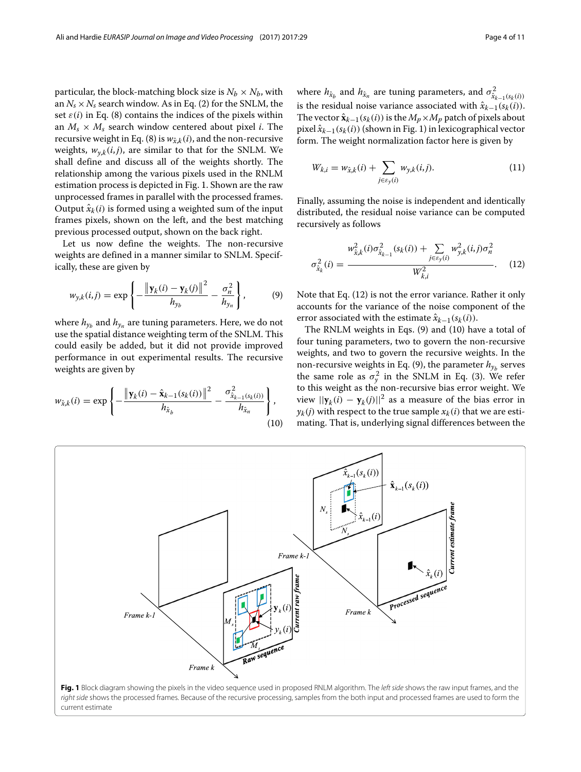particular, the block-matching block size is  $N_b \times N_b$ , with an  $N_s \times N_s$  search window. As in Eq. (2) for the SNLM, the set  $\varepsilon$ (*i*) in Eq. (8) contains the indices of the pixels within an  $M_s \times M_s$  search window centered about pixel *i*. The recursive weight in Eq. (8) is  $w_{\hat{x},k}(i)$ , and the non-recursive weights,  $w_{v,k}(i, j)$ , are similar to that for the SNLM. We shall define and discuss all of the weights shortly. The relationship among the various pixels used in the RNLM estimation process is depicted in Fig. 1. Shown are the raw unprocessed frames in parallel with the processed frames. Output  $\hat{x}_k(i)$  is formed using a weighted sum of the input frames pixels, shown on the left, and the best matching previous processed output, shown on the back right.

Let us now define the weights. The non-recursive weights are defined in a manner similar to SNLM. Specifically, these are given by

$$
w_{y,k}(i,j) = \exp\left\{-\frac{\left\|\mathbf{y}_k(i) - \mathbf{y}_k(j)\right\|^2}{h_{y_b}} - \frac{\sigma_n^2}{h_{y_n}}\right\},\qquad(9)
$$

where  $h_{y_h}$  and  $h_{y_n}$  are tuning parameters. Here, we do not use the spatial distance weighting term of the SNLM. This could easily be added, but it did not provide improved performance in out experimental results. The recursive weights are given by

$$
w_{\hat{x},k}(i) = \exp\left\{-\frac{\left\|\mathbf{y}_k(i) - \hat{\mathbf{x}}_{k-1}(s_k(i))\right\|^2}{h_{\hat{x}_b}} - \frac{\sigma^2_{\hat{x}_{k-1}(s_k(i))}}{h_{\hat{x}_n}}\right\},\tag{10}
$$

where  $h_{\hat{x}_b}$  and  $h_{\hat{x}_n}$  are tuning parameters, and  $\sigma_{\hat{x}_{k-1}(s_k(i))}^2$ is the residual noise variance associated with  $\hat{x}_{k-1}(s_k(i))$ . The vector  $\hat{\mathbf{x}}_{k-1}(s_k(i))$  is the  $M_p \times M_p$  patch of pixels about pixel  $\hat{x}_{k-1}(s_k(i))$  (shown in Fig. 1) in lexicographical vector form. The weight normalization factor here is given by

$$
W_{k,i} = w_{\hat{x},k}(i) + \sum_{j \in \varepsilon_y(i)} w_{y,k}(i,j).
$$
 (11)

Finally, assuming the noise is independent and identically distributed, the residual noise variance can be computed recursively as follows

$$
\sigma_{\hat{x}_k}^2(i) = \frac{w_{\hat{x},k}^2(i)\sigma_{\hat{x}_{k-1}}^2(s_k(i)) + \sum_{j \in \varepsilon_y(i)} w_{y,k}^2(i,j)\sigma_n^2}{W_{k,i}^2}.
$$
 (12)

Note that Eq. (12) is not the error variance. Rather it only accounts for the variance of the noise component of the error associated with the estimate  $\hat{x}_{k-1}(s_k(i))$ .

The RNLM weights in Eqs. (9) and (10) have a total of four tuning parameters, two to govern the non-recursive weights, and two to govern the recursive weights. In the non-recursive weights in Eq. (9), the parameter  $h_{\gamma_b}$  serves the same role as  $\sigma_y^2$  in the SNLM in Eq. (3). We refer to this weight as the non-recursive bias error weight. We view  $||\mathbf{y}_k(i) - \mathbf{y}_k(j)||^2$  as a measure of the bias error in  $y_k(i)$  with respect to the true sample  $x_k(i)$  that we are estimating. That is, underlying signal differences between the

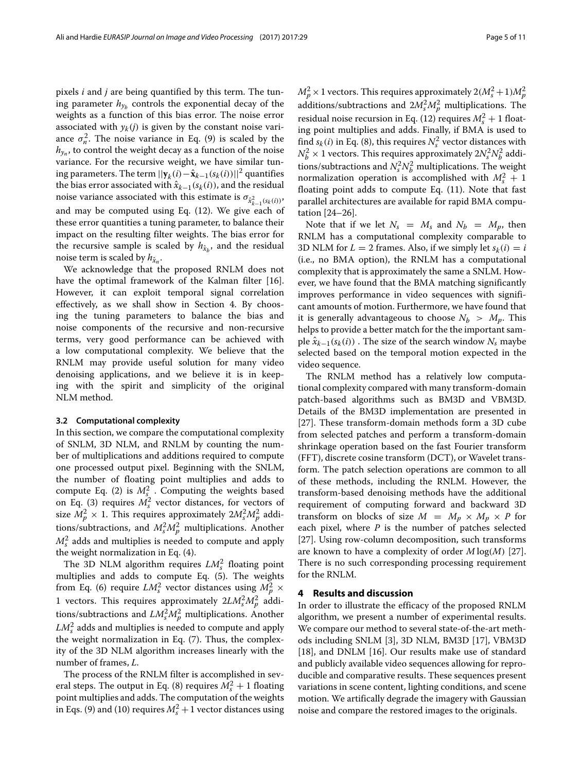pixels *i* and *j* are being quantified by this term. The tuning parameter  $h_{y_h}$  controls the exponential decay of the weights as a function of this bias error. The noise error associated with  $y_k(j)$  is given by the constant noise variance  $\sigma_n^2$ . The noise variance in Eq. (9) is scaled by the  $h_{y_n}$ , to control the weight decay as a function of the noise variance. For the recursive weight, we have similar tuning parameters. The term  $||\mathbf{y}_k(i) − \hat{\mathbf{x}}_{k-1}(s_k(i))||^2$  quantifies the bias error associated with  $\hat{x}_{k-1}(s_k(i))$ , and the residual noise variance associated with this estimate is  $\sigma_{\hat{x}_{k-1}^2(s_k(i))}$ , and may be computed using Eq. (12). We give each of these error quantities a tuning parameter, to balance their impact on the resulting filter weights. The bias error for the recursive sample is scaled by  $h_{\hat{x}_b}$ , and the residual noise term is scaled by  $h_{\hat{x}_n}$ .

We acknowledge that the proposed RNLM does not have the optimal framework of the Kalman filter [16]. However, it can exploit temporal signal correlation effectively, as we shall show in Section 4. By choosing the tuning parameters to balance the bias and noise components of the recursive and non-recursive terms, very good performance can be achieved with a low computational complexity. We believe that the RNLM may provide useful solution for many video denoising applications, and we believe it is in keeping with the spirit and simplicity of the original NLM method.

#### **3.2 Computational complexity**

In this section, we compare the computational complexity of SNLM, 3D NLM, and RNLM by counting the number of multiplications and additions required to compute one processed output pixel. Beginning with the SNLM, the number of floating point multiplies and adds to compute Eq. (2) is  $M_{s_2}^2$ . Computing the weights based on Eq. (3) requires  $M_s^2$  vector distances, for vectors of size  $M_p^2 \times 1$ . This requires approximately  $2M_s^2M_p^2$  additions/subtractions, and  $M_s^2 M_p^2$  multiplications. Another  $M_s^2$  adds and multiplies is needed to compute and apply the weight normalization in Eq. (4).

The 3D NLM algorithm requires  $LM_s^2$  floating point multiplies and adds to compute Eq. (5). The weights from Eq. (6) require  $LM_s^2$  vector distances using  $M_p^2 \times$ 1 vectors. This requires approximately  $2LM_s^2M_p^2$  additions/subtractions and  $LM_s^2M_p^2$  multiplications. Another  $LM_{s}^{2}$  adds and multiplies is needed to compute and apply the weight normalization in Eq. (7). Thus, the complexity of the 3D NLM algorithm increases linearly with the number of frames, *L*.

The process of the RNLM filter is accomplished in several steps. The output in Eq. (8) requires  $M_s^2 + 1$  floating point multiplies and adds. The computation of the weights in Eqs. (9) and (10) requires  $M_s^2 + 1$  vector distances using

 $M_p^2 \times 1$  vectors. This requires approximately  $2(M_s^2+1)M_p^2$ additions/subtractions and  $2M_s^2M_p^2$  multiplications. The residual noise recursion in Eq. (12) requires  $M_s^2 + 1$  floating point multiplies and adds. Finally, if BMA is used to find  $s_k(i)$  in Eq. (8), this requires  $N_s^2$  vector distances with  $N_b^2 \times 1$  vectors. This requires approximately  $2N_s^2N_b^2$  additions/subtractions and  $N_s^2 N_b^2$  multiplications. The weight normalization operation is accomplished with  $M_s^2 + 1$ floating point adds to compute Eq. (11). Note that fast parallel architectures are available for rapid BMA computation [24–26].

Note that if we let  $N_s = M_s$  and  $N_b = M_p$ , then RNLM has a computational complexity comparable to 3D NLM for  $L = 2$  frames. Also, if we simply let  $s_k(i) = i$ (i.e., no BMA option), the RNLM has a computational complexity that is approximately the same a SNLM. However, we have found that the BMA matching significantly improves performance in video sequences with significant amounts of motion. Furthermore, we have found that it is generally advantageous to choose  $N_b > M_p$ . This helps to provide a better match for the the important sample  $\hat{x}_{k-1}(s_k(i))$ . The size of the search window  $N_s$  maybe selected based on the temporal motion expected in the video sequence.

The RNLM method has a relatively low computational complexity compared with many transform-domain patch-based algorithms such as BM3D and VBM3D. Details of the BM3D implementation are presented in [27]. These transform-domain methods form a 3D cube from selected patches and perform a transform-domain shrinkage operation based on the fast Fourier transform (FFT), discrete cosine transform (DCT), or Wavelet transform. The patch selection operations are common to all of these methods, including the RNLM. However, the transform-based denoising methods have the additional requirement of computing forward and backward 3D transform on blocks of size  $M = M_p \times M_p \times P$  for each pixel, where *P* is the number of patches selected [27]. Using row-column decomposition, such transforms are known to have a complexity of order *M* log(*M*) [27]. There is no such corresponding processing requirement for the RNLM.

#### **4 Results and discussion**

In order to illustrate the efficacy of the proposed RNLM algorithm, we present a number of experimental results. We compare our method to several state-of-the-art methods including SNLM [3], 3D NLM, BM3D [17], VBM3D [18], and DNLM [16]. Our results make use of standard and publicly available video sequences allowing for reproducible and comparative results. These sequences present variations in scene content, lighting conditions, and scene motion. We artifically degrade the imagery with Gaussian noise and compare the restored images to the originals.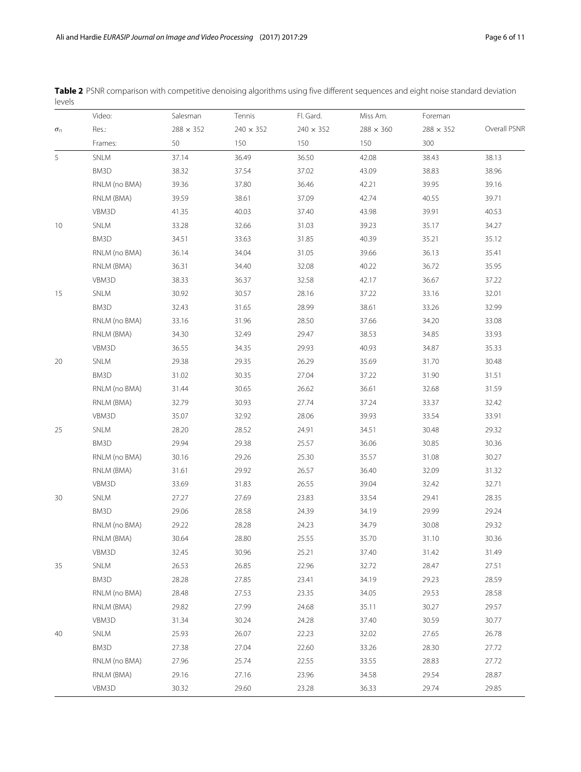|                     | Video:        | Salesman         | Tennis           | Fl. Gard.        | Miss Am.         | Foreman          |              |
|---------------------|---------------|------------------|------------------|------------------|------------------|------------------|--------------|
| $\sigma_{\text{n}}$ | Res.:         | $288 \times 352$ | $240 \times 352$ | $240 \times 352$ | $288 \times 360$ | $288 \times 352$ | Overall PSNR |
|                     | Frames:       | 50               | 150              | 150              | 150              | 300              |              |
| 5                   | SNLM          | 37.14            | 36.49            | 36.50            | 42.08            | 38.43            | 38.13        |
|                     | BM3D          | 38.32            | 37.54            | 37.02            | 43.09            | 38.83            | 38.96        |
|                     | RNLM (no BMA) | 39.36            | 37.80            | 36.46            | 42.21            | 39.95            | 39.16        |
|                     | RNLM (BMA)    | 39.59            | 38.61            | 37.09            | 42.74            | 40.55            | 39.71        |
|                     | VBM3D         | 41.35            | 40.03            | 37.40            | 43.98            | 39.91            | 40.53        |
| 10                  | SNLM          | 33.28            | 32.66            | 31.03            | 39.23            | 35.17            | 34.27        |
|                     | BM3D          | 34.51            | 33.63            | 31.85            | 40.39            | 35.21            | 35.12        |
|                     | RNLM (no BMA) | 36.14            | 34.04            | 31.05            | 39.66            | 36.13            | 35.41        |
|                     | RNLM (BMA)    | 36.31            | 34.40            | 32.08            | 40.22            | 36.72            | 35.95        |
|                     | VBM3D         | 38.33            | 36.37            | 32.58            | 42.17            | 36.67            | 37.22        |
| 15                  | SNLM          | 30.92            | 30.57            | 28.16            | 37.22            | 33.16            | 32.01        |
|                     | BM3D          | 32.43            | 31.65            | 28.99            | 38.61            | 33.26            | 32.99        |
|                     | RNLM (no BMA) | 33.16            | 31.96            | 28.50            | 37.66            | 34.20            | 33.08        |
|                     | RNLM (BMA)    | 34.30            | 32.49            | 29.47            | 38.53            | 34.85            | 33.93        |
|                     | VBM3D         | 36.55            | 34.35            | 29.93            | 40.93            | 34.87            | 35.33        |
| 20                  | SNLM          | 29.38            | 29.35            | 26.29            | 35.69            | 31.70            | 30.48        |
|                     | BM3D          | 31.02            | 30.35            | 27.04            | 37.22            | 31.90            | 31.51        |
|                     | RNLM (no BMA) | 31.44            | 30.65            | 26.62            | 36.61            | 32.68            | 31.59        |
|                     | RNLM (BMA)    | 32.79            | 30.93            | 27.74            | 37.24            | 33.37            | 32.42        |
|                     | VBM3D         | 35.07            | 32.92            | 28.06            | 39.93            | 33.54            | 33.91        |
| 25                  | SNLM          | 28.20            | 28.52            | 24.91            | 34.51            | 30.48            | 29.32        |
|                     | BM3D          | 29.94            | 29.38            | 25.57            | 36.06            | 30.85            | 30.36        |
|                     | RNLM (no BMA) | 30.16            | 29.26            | 25.30            | 35.57            | 31.08            | 30.27        |
|                     | RNLM (BMA)    | 31.61            | 29.92            | 26.57            | 36.40            | 32.09            | 31.32        |
|                     | VBM3D         | 33.69            | 31.83            | 26.55            | 39.04            | 32.42            | 32.71        |
| 30                  | SNLM          | 27.27            | 27.69            | 23.83            | 33.54            | 29.41            | 28.35        |
|                     | BM3D          | 29.06            | 28.58            | 24.39            | 34.19            | 29.99            | 29.24        |
|                     | RNLM (no BMA) | 29.22            | 28.28            | 24.23            | 34.79            | 30.08            | 29.32        |
|                     | RNLM (BMA)    | 30.64            | 28.80            | 25.55            | 35.70            | 31.10            | 30.36        |
|                     | VBM3D         | 32.45            | 30.96            | 25.21            | 37.40            | 31.42            | 31.49        |
| 35                  | SNLM          | 26.53            | 26.85            | 22.96            | 32.72            | 28.47            | 27.51        |
|                     | BM3D          | 28.28            | 27.85            | 23.41            | 34.19            | 29.23            | 28.59        |
|                     | RNLM (no BMA) | 28.48            | 27.53            | 23.35            | 34.05            | 29.53            | 28.58        |
|                     | RNLM (BMA)    | 29.82            | 27.99            | 24.68            | 35.11            | 30.27            | 29.57        |
|                     | VBM3D         | 31.34            | 30.24            | 24.28            | 37.40            | 30.59            | 30.77        |
| 40                  | SNLM          | 25.93            | 26.07            | 22.23            | 32.02            | 27.65            | 26.78        |
|                     | BM3D          | 27.38            | 27.04            | 22.60            | 33.26            | 28.30            | 27.72        |
|                     | RNLM (no BMA) | 27.96            | 25.74            | 22.55            | 33.55            | 28.83            | 27.72        |
|                     | RNLM (BMA)    | 29.16            | 27.16            | 23.96            | 34.58            | 29.54            | 28.87        |
|                     | VBM3D         | 30.32            | 29.60            | 23.28            | 36.33            | 29.74            | 29.85        |

Table 2 PSNR comparison with competitive denoising algorithms using five different sequences and eight noise standard deviation levels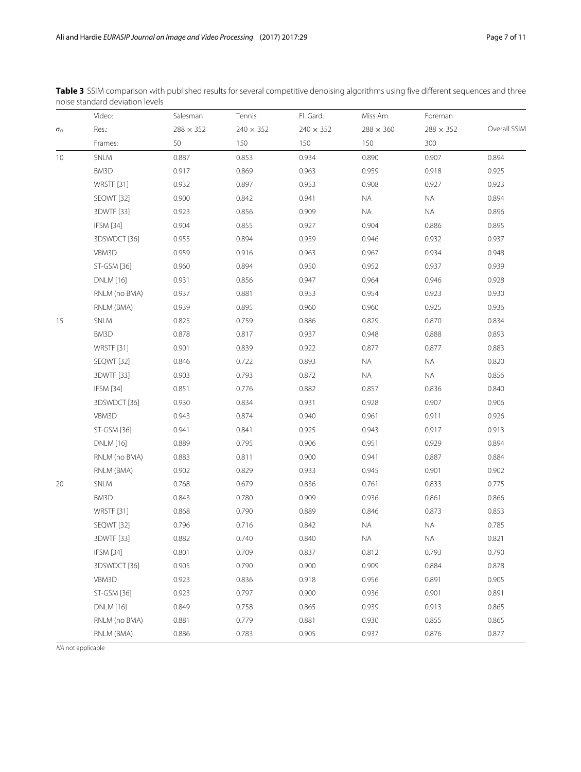|              | Video:            | Salesman         | Tennis           | Fl. Gard.        | Miss Am.         | Foreman          |              |
|--------------|-------------------|------------------|------------------|------------------|------------------|------------------|--------------|
| $\sigma_{n}$ | Res.:             | $288 \times 352$ | $240 \times 352$ | $240 \times 352$ | $288 \times 360$ | $288 \times 352$ | Overall SSIM |
|              | Frames:           | 50               | 150              | 150              | 150              | 300              |              |
| 10           | SNLM              | 0.887            | 0.853            | 0.934            | 0.890            | 0.907            | 0.894        |
|              | BM3D              | 0.917            | 0.869            | 0.963            | 0.959            | 0.918            | 0.925        |
|              | <b>WRSTF [31]</b> | 0.932            | 0.897            | 0.953            | 0.908            | 0.927            | 0.923        |
|              | SEQWT [32]        | 0.900            | 0.842            | 0.941            | ΝA               | <b>NA</b>        | 0.894        |
|              | 3DWTF [33]        | 0.923            | 0.856            | 0.909            | <b>NA</b>        | <b>NA</b>        | 0.896        |
|              | <b>IFSM [34]</b>  | 0.904            | 0.855            | 0.927            | 0.904            | 0.886            | 0.895        |
|              | 3DSWDCT [36]      | 0.955            | 0.894            | 0.959            | 0.946            | 0.932            | 0.937        |
|              | VBM3D             | 0.959            | 0.916            | 0.963            | 0.967            | 0.934            | 0.948        |
|              | ST-GSM [36]       | 0.960            | 0.894            | 0.950            | 0.952            | 0.937            | 0.939        |
|              | <b>DNLM</b> [16]  | 0.931            | 0.856            | 0.947            | 0.964            | 0.946            | 0.928        |
|              | RNLM (no BMA)     | 0.937            | 0.881            | 0.953            | 0.954            | 0.923            | 0.930        |
|              | RNLM (BMA)        | 0.939            | 0.895            | 0.960            | 0.960            | 0.925            | 0.936        |
| 15           | SNLM              | 0.825            | 0.759            | 0.886            | 0.829            | 0.870            | 0.834        |
|              | BM3D              | 0.878            | 0.817            | 0.937            | 0.948            | 0.888            | 0.893        |
|              | <b>WRSTF [31]</b> | 0.901            | 0.839            | 0.922            | 0.877            | 0.877            | 0.883        |
|              | SEQWT [32]        | 0.846            | 0.722            | 0.893            | <b>NA</b>        | <b>NA</b>        | 0.820        |
|              | 3DWTF [33]        | 0.903            | 0.793            | 0.872            | <b>NA</b>        | <b>NA</b>        | 0.856        |
|              | <b>IFSM [34]</b>  | 0.851            | 0.776            | 0.882            | 0.857            | 0.836            | 0.840        |
|              | 3DSWDCT [36]      | 0.930            | 0.834            | 0.931            | 0.928            | 0.907            | 0.906        |
|              | VBM3D             | 0.943            | 0.874            | 0.940            | 0.961            | 0.911            | 0.926        |
|              | ST-GSM [36]       | 0.941            | 0.841            | 0.925            | 0.943            | 0.917            | 0.913        |
|              | <b>DNLM</b> [16]  | 0.889            | 0.795            | 0.906            | 0.951            | 0.929            | 0.894        |
|              | RNLM (no BMA)     | 0.883            | 0.811            | 0.900            | 0.941            | 0.887            | 0.884        |
|              | RNLM (BMA)        | 0.902            | 0.829            | 0.933            | 0.945            | 0.901            | 0.902        |
| 20           | SNLM              | 0.768            | 0.679            | 0.836            | 0.761            | 0.833            | 0.775        |
|              | BM3D              | 0.843            | 0.780            | 0.909            | 0.936            | 0.861            | 0.866        |
|              | <b>WRSTF [31]</b> | 0.868            | 0.790            | 0.889            | 0.846            | 0.873            | 0.853        |
|              | SEQWT [32]        | 0.796            | 0.716            | 0.842            | ΝA               | <b>NA</b>        | 0.785        |
|              | 3DWTF [33]        | 0.882            | 0.740            | 0.840            | NA               | <b>NA</b>        | 0.821        |
|              | <b>IFSM [34]</b>  | 0.801            | 0.709            | 0.837            | 0.812            | 0.793            | 0.790        |
|              | 3DSWDCT [36]      | 0.905            | 0.790            | 0.900            | 0.909            | 0.884            | 0.878        |
|              | VBM3D             | 0.923            | 0.836            | 0.918            | 0.956            | 0.891            | 0.905        |
|              | ST-GSM [36]       | 0.923            | 0.797            | 0.900            | 0.936            | 0.901            | 0.891        |

DNLM [16] 0.849 0.758 0.865 0.939 0.913 0.865 RNLM (no BMA) 0.881 0.779 0.881 0.930 0.855 0.865 RNLM (BMA) 0.886 0.783 0.905 0.937 0.876 0.877

**Table 3** SSIM comparison with published results for several competitive denoising algorithms using five different sequences and three noise standard deviation levels

NA not applicable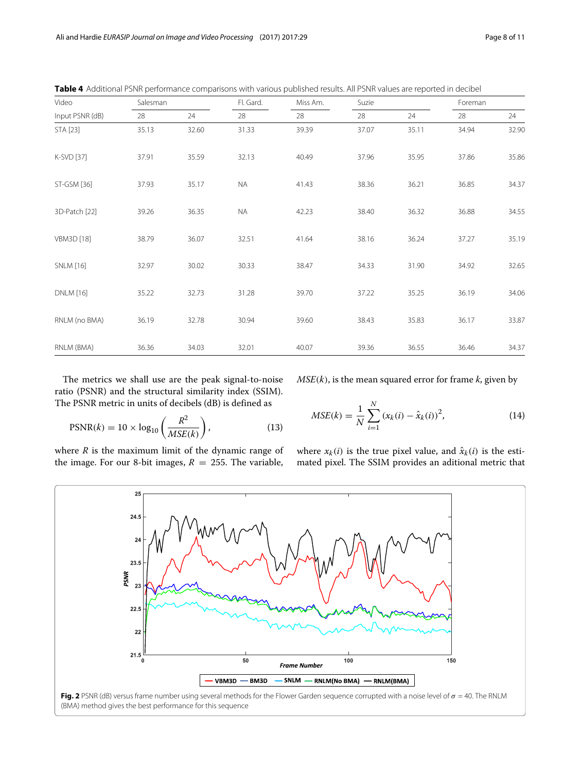| Video             | Salesman |       | Fl. Gard. | Miss Am. | Suzie |       | Foreman |       |
|-------------------|----------|-------|-----------|----------|-------|-------|---------|-------|
| Input PSNR (dB)   | 28       | 24    | 28        | 28       | 28    | 24    | 28      | 24    |
| STA [23]          | 35.13    | 32.60 | 31.33     | 39.39    | 37.07 | 35.11 | 34.94   | 32.90 |
| K-SVD [37]        | 37.91    | 35.59 | 32.13     | 40.49    | 37.96 | 35.95 | 37.86   | 35.86 |
| ST-GSM [36]       | 37.93    | 35.17 | <b>NA</b> | 41.43    | 38.36 | 36.21 | 36.85   | 34.37 |
| 3D-Patch [22]     | 39.26    | 36.35 | <b>NA</b> | 42.23    | 38.40 | 36.32 | 36.88   | 34.55 |
| <b>VBM3D [18]</b> | 38.79    | 36.07 | 32.51     | 41.64    | 38.16 | 36.24 | 37.27   | 35.19 |
| <b>SNLM</b> [16]  | 32.97    | 30.02 | 30.33     | 38.47    | 34.33 | 31.90 | 34.92   | 32.65 |
| <b>DNLM</b> [16]  | 35.22    | 32.73 | 31.28     | 39.70    | 37.22 | 35.25 | 36.19   | 34.06 |
| RNLM (no BMA)     | 36.19    | 32.78 | 30.94     | 39.60    | 38.43 | 35.83 | 36.17   | 33.87 |
| RNLM (BMA)        | 36.36    | 34.03 | 32.01     | 40.07    | 39.36 | 36.55 | 36.46   | 34.37 |

**Table 4** Additional PSNR performance comparisons with various published results. All PSNR values are reported in decibel

The metrics we shall use are the peak signal-to-noise ratio (PSNR) and the structural similarity index (SSIM). The PSNR metric in units of decibels (dB) is defined as

 $\setminus$ 

 $\text{PSNR}(k) = 10 \times \log_{10} \left( \frac{R^2}{MSE(k)} \right)$ 

*MSE*(*k*), is the mean squared error for frame *k*, given by

$$
MSE(k) = \frac{1}{N} \sum_{i=1}^{N} (x_k(i) - \hat{x}_k(i))^2,
$$
 (14)

where *R* is the maximum limit of the dynamic range of the image. For our 8-bit images,  $R = 255$ . The variable, where  $x_k(i)$  is the true pixel value, and  $\hat{x}_k(i)$  is the estimated pixel. The SSIM provides an aditional metric that



 $(13)$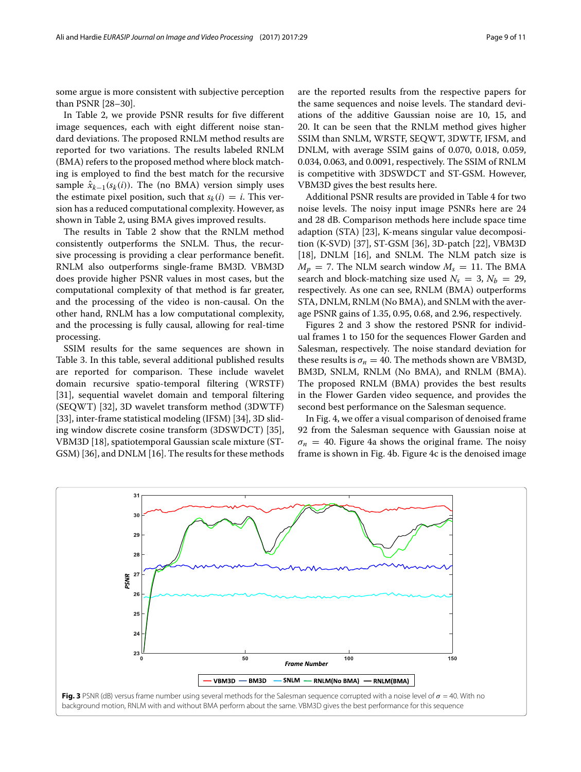some argue is more consistent with subjective perception than PSNR [28–30].

In Table 2, we provide PSNR results for five different image sequences, each with eight different noise standard deviations. The proposed RNLM method results are reported for two variations. The results labeled RNLM (BMA) refers to the proposed method where block matching is employed to find the best match for the recursive sample  $\hat{x}_{k-1}(s_k(i))$ . The (no BMA) version simply uses the estimate pixel position, such that  $s_k(i) = i$ . This version has a reduced computational complexity. However, as shown in Table 2, using BMA gives improved results.

The results in Table 2 show that the RNLM method consistently outperforms the SNLM. Thus, the recursive processing is providing a clear performance benefit. RNLM also outperforms single-frame BM3D. VBM3D does provide higher PSNR values in most cases, but the computational complexity of that method is far greater, and the processing of the video is non-causal. On the other hand, RNLM has a low computational complexity, and the processing is fully causal, allowing for real-time processing.

SSIM results for the same sequences are shown in Table 3. In this table, several additional published results are reported for comparison. These include wavelet domain recursive spatio-temporal filtering (WRSTF) [31], sequential wavelet domain and temporal filtering (SEQWT) [32], 3D wavelet transform method (3DWTF) [33], inter-frame statistical modeling (IFSM) [34], 3D sliding window discrete cosine transform (3DSWDCT) [35], VBM3D [18], spatiotemporal Gaussian scale mixture (ST-GSM) [36], and DNLM [16]. The results for these methods are the reported results from the respective papers for the same sequences and noise levels. The standard deviations of the additive Gaussian noise are 10, 15, and 20. It can be seen that the RNLM method gives higher SSIM than SNLM, WRSTF, SEQWT, 3DWTF, IFSM, and DNLM, with average SSIM gains of 0.070, 0.018, 0.059, 0.034, 0.063, and 0.0091, respectively. The SSIM of RNLM is competitive with 3DSWDCT and ST-GSM. However, VBM3D gives the best results here.

Additional PSNR results are provided in Table 4 for two noise levels. The noisy input image PSNRs here are 24 and 28 dB. Comparison methods here include space time adaption (STA) [23], K-means singular value decomposition (K-SVD) [37], ST-GSM [36], 3D-patch [22], VBM3D [18], DNLM [16], and SNLM. The NLM patch size is  $M_p = 7$ . The NLM search window  $M_s = 11$ . The BMA search and block-matching size used  $N_s = 3$ ,  $N_b = 29$ , respectively. As one can see, RNLM (BMA) outperforms STA, DNLM, RNLM (No BMA), and SNLM with the average PSNR gains of 1.35, 0.95, 0.68, and 2.96, respectively.

Figures 2 and 3 show the restored PSNR for individual frames 1 to 150 for the sequences Flower Garden and Salesman, respectively. The noise standard deviation for these results is  $\sigma_n = 40$ . The methods shown are VBM3D, BM3D, SNLM, RNLM (No BMA), and RNLM (BMA). The proposed RNLM (BMA) provides the best results in the Flower Garden video sequence, and provides the second best performance on the Salesman sequence.

In Fig. 4, we offer a visual comparison of denoised frame 92 from the Salesman sequence with Gaussian noise at  $\sigma_n = 40$ . Figure 4a shows the original frame. The noisy frame is shown in Fig. 4b. Figure 4c is the denoised image

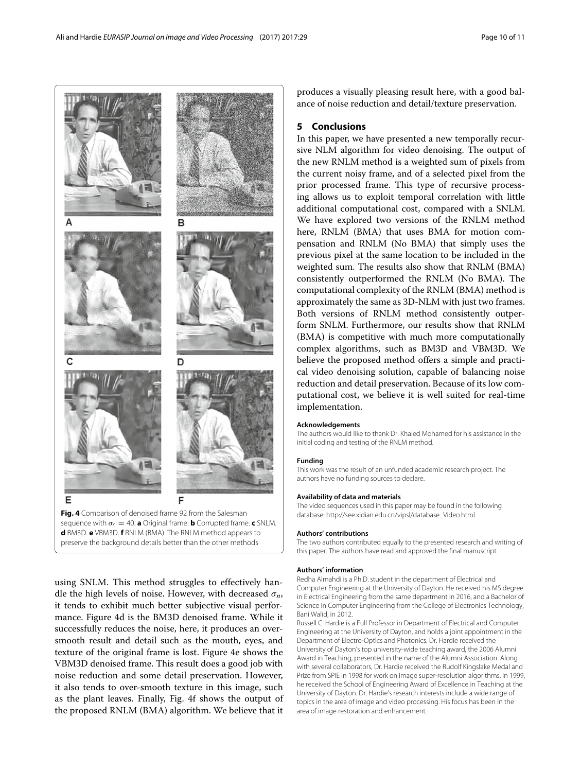**d** BM3D. **e** VBM3D. **f** RNLM (BMA). The RNLM method appears to preserve the background details better than the other methods

using SNLM. This method struggles to effectively handle the high levels of noise. However, with decreased σ*n*, it tends to exhibit much better subjective visual performance. Figure 4d is the BM3D denoised frame. While it successfully reduces the noise, here, it produces an oversmooth result and detail such as the mouth, eyes, and texture of the original frame is lost. Figure 4e shows the VBM3D denoised frame. This result does a good job with noise reduction and some detail preservation. However, it also tends to over-smooth texture in this image, such as the plant leaves. Finally, Fig. 4f shows the output of the proposed RNLM (BMA) algorithm. We believe that it

produces a visually pleasing result here, with a good balance of noise reduction and detail/texture preservation.

### **5 Conclusions**

In this paper, we have presented a new temporally recursive NLM algorithm for video denoising. The output of the new RNLM method is a weighted sum of pixels from the current noisy frame, and of a selected pixel from the prior processed frame. This type of recursive processing allows us to exploit temporal correlation with little additional computational cost, compared with a SNLM. We have explored two versions of the RNLM method here, RNLM (BMA) that uses BMA for motion compensation and RNLM (No BMA) that simply uses the previous pixel at the same location to be included in the weighted sum. The results also show that RNLM (BMA) consistently outperformed the RNLM (No BMA). The computational complexity of the RNLM (BMA) method is approximately the same as 3D-NLM with just two frames. Both versions of RNLM method consistently outperform SNLM. Furthermore, our results show that RNLM (BMA) is competitive with much more computationally complex algorithms, such as BM3D and VBM3D. We believe the proposed method offers a simple and practical video denoising solution, capable of balancing noise reduction and detail preservation. Because of its low computational cost, we believe it is well suited for real-time implementation.

#### **Acknowledgements**

The authors would like to thank Dr. Khaled Mohamed for his assistance in the initial coding and testing of the RNLM method.

#### **Funding**

This work was the result of an unfunded academic research project. The authors have no funding sources to declare.

#### **Availability of data and materials**

The video sequences used in this paper may be found in the following database: http://see.xidian.edu.cn/vipsl/database\_Video.html.

#### **Authors' contributions**

The two authors contributed equally to the presented research and writing of this paper. The authors have read and approved the final manuscript.

#### **Authors' information**

Redha Almahdi is a Ph.D. student in the department of Electrical and Computer Engineering at the University of Dayton. He received his MS degree in Electrical Engineering from the same department in 2016, and a Bachelor of Science in Computer Engineering from the College of Electronics Technology, Bani Walid, in 2012.

Russell C. Hardie is a Full Professor in Department of Electrical and Computer Engineering at the University of Dayton, and holds a joint appointment in the Department of Electro-Optics and Photonics. Dr. Hardie received the University of Dayton's top university-wide teaching award, the 2006 Alumni Award in Teaching, presented in the name of the Alumni Association. Along with several collaborators, Dr. Hardie received the Rudolf Kingslake Medal and Prize from SPIE in 1998 for work on image super-resolution algorithms. In 1999, he received the School of Engineering Award of Excellence in Teaching at the University of Dayton. Dr. Hardie's research interests include a wide range of topics in the area of image and video processing. His focus has been in the area of image restoration and enhancement.